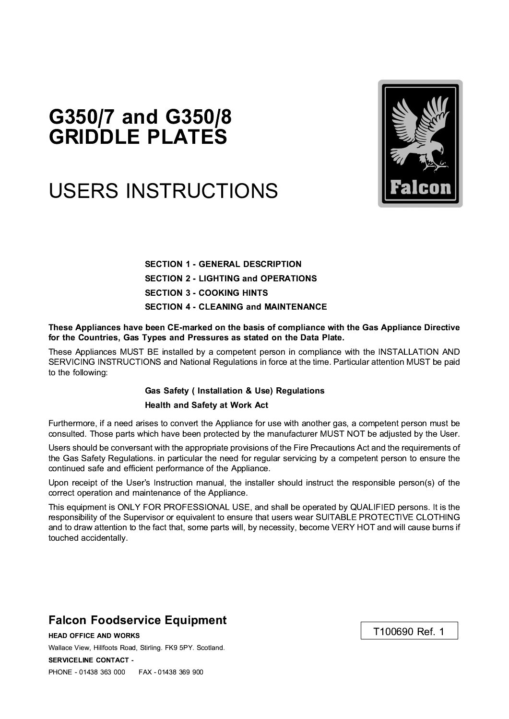## G350/7 and G350/8 **GRIDDLE PLATES**

# **USERS INSTRUCTIONS**



**SECTION 1 - GENERAL DESCRIPTION SECTION 2 - LIGHTING and OPERATIONS SECTION 3 - COOKING HINTS SECTION 4 - CLEANING and MAINTENANCE** 

These Appliances have been CE-marked on the basis of compliance with the Gas Appliance Directive for the Countries. Gas Types and Pressures as stated on the Data Plate.

These Appliances MUST BE installed by a competent person in compliance with the INSTALLATION AND SERVICING INSTRUCTIONS and National Regulations in force at the time. Particular attention MUST be paid to the following:

#### **Gas Safety (Installation & Use) Regulations Health and Safety at Work Act**

Furthermore, if a need arises to convert the Appliance for use with another gas, a competent person must be consulted. Those parts which have been protected by the manufacturer MUST NOT be adjusted by the User.

Users should be conversant with the appropriate provisions of the Fire Precautions Act and the requirements of the Gas Safety Regulations. in particular the need for regular servicing by a competent person to ensure the continued safe and efficient performance of the Appliance.

Upon receipt of the User's Instruction manual, the installer should instruct the responsible person(s) of the correct operation and maintenance of the Appliance.

This equipment is ONLY FOR PROFESSIONAL USE, and shall be operated by QUALIFIED persons. It is the responsibility of the Supervisor or equivalent to ensure that users wear SUITABLE PROTECTIVE CLOTHING and to draw attention to the fact that, some parts will, by necessity, become VERY HOT and will cause burns if touched accidentally.

### **Falcon Foodservice Equipment**

**HEAD OFFICE AND WORKS** Wallace View, Hillfoots Road, Stirling. FK9 5PY. Scotland. **SERVICELINE CONTACT -**PHONE - 01438 363 000 FAX - 01438 369 900

T100690 Ref. 1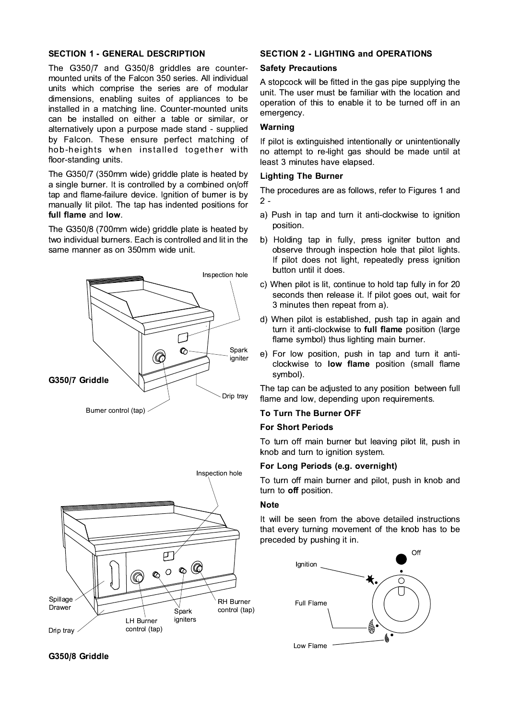#### **SECTION 1 - GENERAL DESCRIPTION**

The G350/7 and G350/8 griddles are countermounted units of the Falcon 350 series. All individual units which comprise the series are of modular dimensions, enabling suites of appliances to be installed in a matching line. Counter-mounted units can be installed on either a table or similar, or alternatively upon a purpose made stand - supplied by Falcon. These ensure perfect matching of hob-heights when installed together with floor-standing units.

The G350/7 (350mm wide) griddle plate is heated by a single burner. It is controlled by a combined on/off tap and flame-failure device. Ignition of burner is by manually lit pilot. The tap has indented positions for full flame and low.

The G350/8 (700mm wide) griddle plate is heated by two individual burners. Each is controlled and lit in the same manner as on 350mm wide unit.





#### **SECTION 2 - LIGHTING and OPERATIONS**

#### **Safety Precautions**

A stopcock will be fitted in the gas pipe supplying the unit. The user must be familiar with the location and operation of this to enable it to be turned off in an emergency.

#### Warning

If pilot is extinguished intentionally or unintentionally no attempt to re-light gas should be made until at least 3 minutes have elapsed.

#### **Lighting The Burner**

The procedures are as follows, refer to Figures 1 and  $2 -$ 

- a) Push in tap and turn it anti-clockwise to ignition position.
- b) Holding tap in fully, press igniter button and observe through inspection hole that pilot lights. If pilot does not light, repeatedly press ignition button until it does.
- c) When pilot is lit, continue to hold tap fully in for 20 seconds then release it. If pilot goes out, wait for 3 minutes then repeat from a).
- d) When pilot is established, push tap in again and turn it anti-clockwise to full flame position (large flame symbol) thus lighting main burner.
- e) For low position, push in tap and turn it anticlockwise to low flame position (small flame symbol).

The tap can be adjusted to any position between full flame and low, depending upon requirements.

#### To Turn The Burner OFF

#### **For Short Periods**

To turn off main burner but leaving pilot lit, push in knob and turn to ignition system.

#### For Long Periods (e.g. overnight)

To turn off main burner and pilot, push in knob and turn to off position.

#### **Note**

It will be seen from the above detailed instructions that every turning movement of the knob has to be preceded by pushing it in.



#### G350/8 Griddle